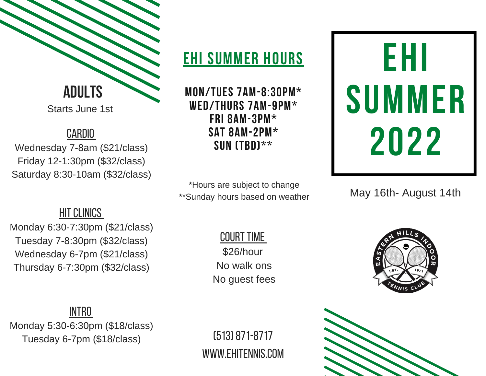

Starts June 1st

### **CARDIO**

Wednesday 7-8am (\$21/class) Friday 12-1:30pm (\$32/class) Saturday 8:30-10am (\$32/class)

## **EHI SUMMER HOURS**

**MON/TUES 7AM-8:30PM\* WED/THURS 7AM-9PM\* FRI 8AM-3PM\* SAT 8AM-2PM\* SUN (TBD)\*\***

\*Hours are subject to change \*\*Sunday hours based on weather

**EHI SUMMER 2022**

May 16th- August 14th

### **HIT CLINICS**

Monday 6:30-7:30pm (\$21/class) Tuesday 7-8:30pm (\$32/class) Wednesday 6-7pm (\$21/class) Thursday 6-7:30pm (\$32/class)

### **COURT TIME**

\$26/hour No walk ons No guest fees



#### Intro

Monday 5:30-6:30pm (\$18/class) Tuesday 6-7pm (\$18/class)

(513)871-8717 www.ehitennis.com